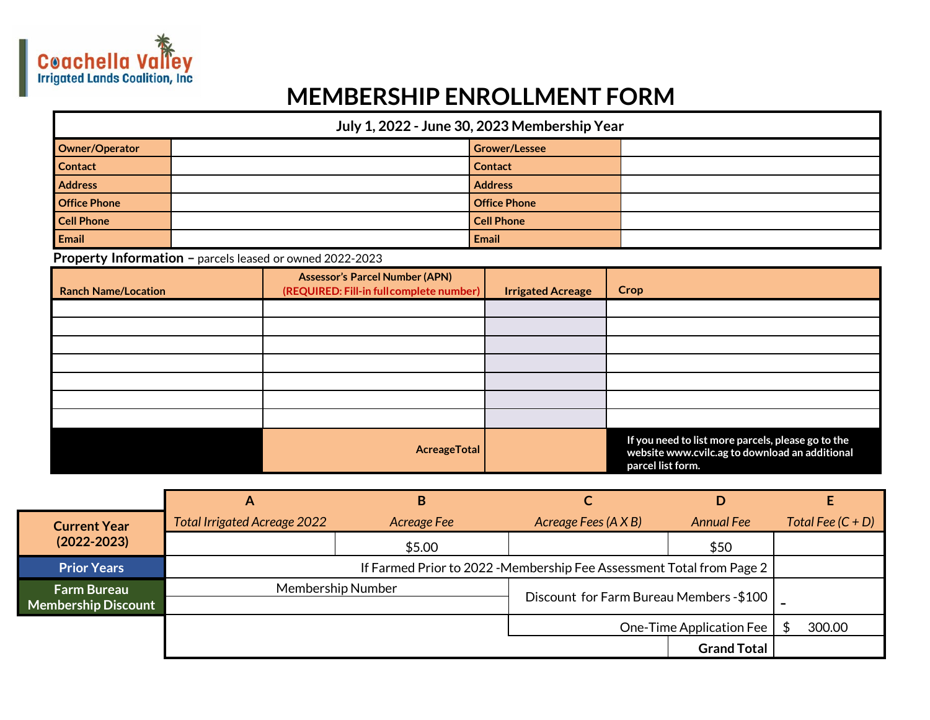

## **MEMBERSHIP ENROLLMENT FORM**

| July 1, 2022 - June 30, 2023 Membership Year |  |                      |  |  |
|----------------------------------------------|--|----------------------|--|--|
| Owner/Operator                               |  | <b>Grower/Lessee</b> |  |  |
| <b>Contact</b>                               |  | <b>Contact</b>       |  |  |
| <b>Address</b>                               |  | <b>Address</b>       |  |  |
| <b>Office Phone</b>                          |  | <b>Office Phone</b>  |  |  |
| <b>Cell Phone</b>                            |  | <b>Cell Phone</b>    |  |  |
| Email                                        |  | Email                |  |  |

## **Property Information –** parcels leased or owned 2022-2023

| <b>Ranch Name/Location</b> | <b>Assessor's Parcel Number (APN)</b><br>(REQUIRED: Fill-in full complete number) | <b>Irrigated Acreage</b> | Crop                                                                                                                      |
|----------------------------|-----------------------------------------------------------------------------------|--------------------------|---------------------------------------------------------------------------------------------------------------------------|
|                            |                                                                                   |                          |                                                                                                                           |
|                            |                                                                                   |                          |                                                                                                                           |
|                            |                                                                                   |                          |                                                                                                                           |
|                            |                                                                                   |                          |                                                                                                                           |
|                            |                                                                                   |                          |                                                                                                                           |
|                            |                                                                                   |                          |                                                                                                                           |
|                            |                                                                                   |                          |                                                                                                                           |
|                            | AcreageTotal                                                                      |                          | If you need to list more parcels, please go to the<br>website www.cvilc.ag to download an additional<br>parcel list form. |

|                                                  | Α                                                                     | B           |                      |                          |  |                     |
|--------------------------------------------------|-----------------------------------------------------------------------|-------------|----------------------|--------------------------|--|---------------------|
| <b>Current Year</b>                              | <b>Total Irrigated Acreage 2022</b>                                   | Acreage Fee | Acreage Fees (A X B) | <b>Annual Fee</b>        |  | Total Fee $(C + D)$ |
| $(2022 - 2023)$                                  |                                                                       | \$5.00      |                      | \$50                     |  |                     |
| <b>Prior Years</b>                               | If Farmed Prior to 2022 - Membership Fee Assessment Total from Page 2 |             |                      |                          |  |                     |
| <b>Farm Bureau</b><br><b>Membership Discount</b> | <b>Membership Number</b><br>Discount for Farm Bureau Members - \$100  |             |                      |                          |  |                     |
|                                                  |                                                                       |             |                      | One-Time Application Fee |  | 300.00              |
|                                                  |                                                                       |             |                      | <b>Grand Total</b>       |  |                     |